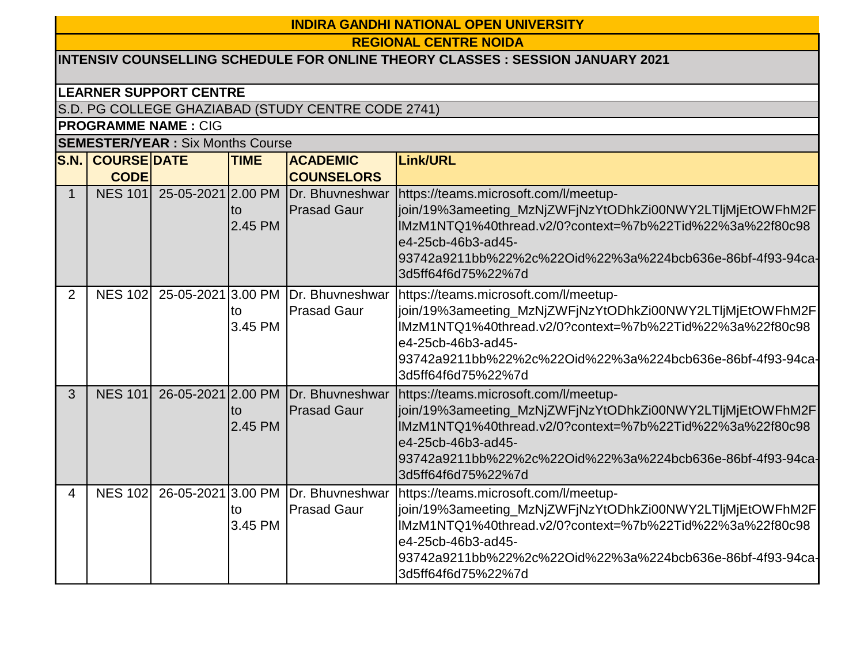## **INDIRA GANDHI NATIONAL OPEN UNIVERSITY**

**REGIONAL CENTRE NOIDA**

# **INTENSIV COUNSELLING SCHEDULE FOR ONLINE THEORY CLASSES : SESSION JANUARY 2021**

#### **LEARNER SUPPORT CENTRE**

S.D. PG COLLEGE GHAZIABAD (STUDY CENTRE CODE 2741)

## **PROGRAMME NAME :** CIG

## **SEMESTER/YEAR :** Six Months Course

| S.N.           | <b>COURSE DATE</b> |                    | <b>TIME</b>   | <b>ACADEMIC</b>                       | Link/URL                                                                                                                                                                                                                                                                 |
|----------------|--------------------|--------------------|---------------|---------------------------------------|--------------------------------------------------------------------------------------------------------------------------------------------------------------------------------------------------------------------------------------------------------------------------|
|                | <b>CODE</b>        |                    |               | <b>COUNSELORS</b>                     |                                                                                                                                                                                                                                                                          |
| $\mathbf{1}$   | <b>NES 101</b>     | 25-05-2021 2.00 PM | to<br>2.45 PM | Dr. Bhuvneshwar<br><b>Prasad Gaur</b> | https://teams.microsoft.com/l/meetup-<br>join/19%3ameeting_MzNjZWFjNzYtODhkZi00NWY2LTIjMjEtOWFhM2F<br>IMzM1NTQ1%40thread.v2/0?context=%7b%22Tid%22%3a%22f80c98<br>e4-25cb-46b3-ad45-<br>.93742a9211bb%22%2c%22Oid%22%3a%224bcb636e-86bf-4f93-94ca-<br>3d5ff64f6d75%22%7d |
| $\overline{2}$ | <b>NES 102</b>     | 25-05-2021 3.00 PM | to<br>3.45 PM | Dr. Bhuvneshwar<br><b>Prasad Gaur</b> | https://teams.microsoft.com/l/meetup-<br>join/19%3ameeting_MzNjZWFjNzYtODhkZi00NWY2LTIjMjEtOWFhM2F<br>lMzM1NTQ1%40thread.v2/0?context=%7b%22Tid%22%3a%22f80c98<br>e4-25cb-46b3-ad45-<br>l93742a9211bb%22%2c%22Oid%22%3a%224bcb636e-86bf-4f93-94ca-<br>3d5ff64f6d75%22%7d |
| 3              | <b>NES 101</b>     | 26-05-2021 2.00 PM | to<br>2.45 PM | Dr. Bhuvneshwar<br><b>Prasad Gaur</b> | https://teams.microsoft.com/l/meetup-<br>join/19%3ameeting_MzNjZWFjNzYtODhkZi00NWY2LTIjMjEtOWFhM2F<br>IMzM1NTQ1%40thread.v2/0?context=%7b%22Tid%22%3a%22f80c98<br>e4-25cb-46b3-ad45-<br>93742a9211bb%22%2c%22Oid%22%3a%224bcb636e-86bf-4f93-94ca-<br>3d5ff64f6d75%22%7d  |
| 4              | <b>NES 102</b>     | 26-05-2021 3.00 PM | to<br>3.45 PM | Dr. Bhuvneshwar<br><b>Prasad Gaur</b> | https://teams.microsoft.com/l/meetup-<br>join/19%3ameeting_MzNjZWFjNzYtODhkZi00NWY2LTljMjEtOWFhM2F<br>lMzM1NTQ1%40thread.v2/0?context=%7b%22Tid%22%3a%22f80c98<br>e4-25cb-46b3-ad45-<br>l93742a9211bb%22%2c%22Oid%22%3a%224bcb636e-86bf-4f93-94ca-<br>3d5ff64f6d75%22%7d |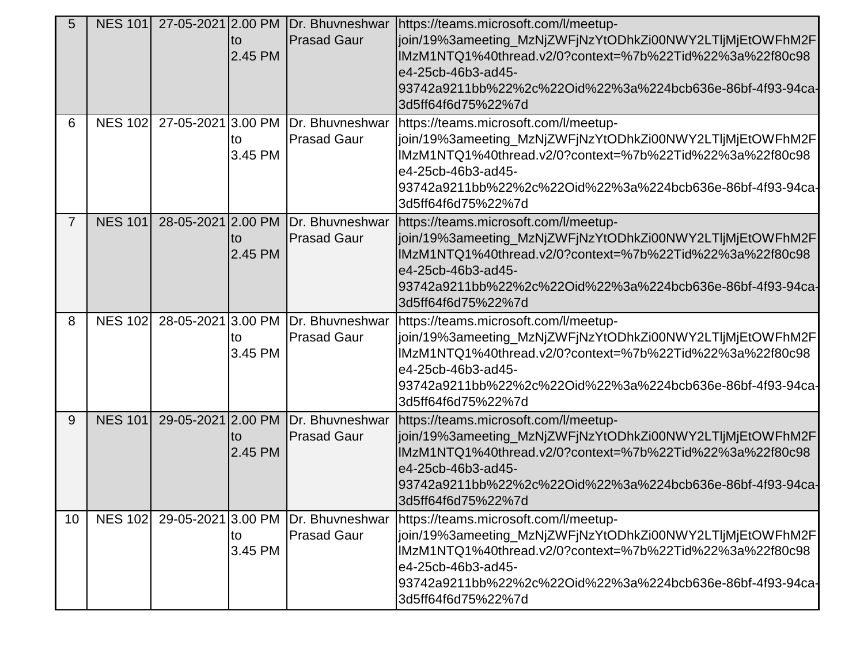| 5              |                 |                    | to<br>2.45 PM | NES 101 27-05-2021 2.00 PM Dr. Bhuvneshwar<br><b>Prasad Gaur</b> | https://teams.microsoft.com/l/meetup-<br>join/19%3ameeting_MzNjZWFjNzYtODhkZi00NWY2LTljMjEtOWFhM2F<br>IMzM1NTQ1%40thread.v2/0?context=%7b%22Tid%22%3a%22f80c98<br>e4-25cb-46b3-ad45-<br>93742a9211bb%22%2c%22Oid%22%3a%224bcb636e-86bf-4f93-94ca-<br>3d5ff64f6d75%22%7d  |
|----------------|-----------------|--------------------|---------------|------------------------------------------------------------------|--------------------------------------------------------------------------------------------------------------------------------------------------------------------------------------------------------------------------------------------------------------------------|
| 6              | <b>NES 1021</b> | 27-05-2021 3.00 PM | to<br>3.45 PM | <b>IDr. Bhuvneshwar</b><br><b>Prasad Gaur</b>                    | https://teams.microsoft.com/l/meetup-<br>join/19%3ameeting_MzNjZWFjNzYtODhkZi00NWY2LTljMjEtOWFhM2F<br>IMzM1NTQ1%40thread.v2/0?context=%7b%22Tid%22%3a%22f80c98<br>e4-25cb-46b3-ad45-<br>93742a9211bb%22%2c%22Oid%22%3a%224bcb636e-86bf-4f93-94ca-<br>3d5ff64f6d75%22%7d  |
| $\overline{7}$ | <b>NES 101</b>  |                    | to<br>2.45 PM | 28-05-2021 2.00 PM Dr. Bhuvneshwar<br><b>Prasad Gaur</b>         | https://teams.microsoft.com/l/meetup-<br>join/19%3ameeting_MzNjZWFjNzYtODhkZi00NWY2LTljMjEtOWFhM2F<br>IMzM1NTQ1%40thread.v2/0?context=%7b%22Tid%22%3a%22f80c98<br>e4-25cb-46b3-ad45-<br>93742a9211bb%22%2c%22Oid%22%3a%224bcb636e-86bf-4f93-94ca-<br>3d5ff64f6d75%22%7d  |
| 8              | <b>NES 102</b>  | 28-05-2021 3.00 PM | to<br>3.45 PM | Dr. Bhuvneshwar<br><b>Prasad Gaur</b>                            | https://teams.microsoft.com/l/meetup-<br>join/19%3ameeting_MzNjZWFjNzYtODhkZi00NWY2LTIjMjEtOWFhM2F<br>IMzM1NTQ1%40thread.v2/0?context=%7b%22Tid%22%3a%22f80c98<br>e4-25cb-46b3-ad45-<br>93742a9211bb%22%2c%22Oid%22%3a%224bcb636e-86bf-4f93-94ca-<br>3d5ff64f6d75%22%7d  |
| 9              | <b>NES 101</b>  | 29-05-2021 2.00 PM | to<br>2.45 PM | <b>IDr. Bhuvneshwar</b><br><b>Prasad Gaur</b>                    | https://teams.microsoft.com/l/meetup-<br>join/19%3ameeting_MzNjZWFjNzYtODhkZi00NWY2LTljMjEtOWFhM2F<br>IMzM1NTQ1%40thread.v2/0?context=%7b%22Tid%22%3a%22f80c98<br>e4-25cb-46b3-ad45-<br>l93742a9211bb%22%2c%22Oid%22%3a%224bcb636e-86bf-4f93-94ca-<br>3d5ff64f6d75%22%7d |
| 10             | <b>NES 102</b>  | 29-05-2021 3.00 PM | to<br>3.45 PM | Dr. Bhuvneshwar<br><b>Prasad Gaur</b>                            | https://teams.microsoft.com/l/meetup-<br>join/19%3ameeting_MzNjZWFjNzYtODhkZi00NWY2LTljMjEtOWFhM2F<br>IMzM1NTQ1%40thread.v2/0?context=%7b%22Tid%22%3a%22f80c98<br>e4-25cb-46b3-ad45-<br>93742a9211bb%22%2c%22Oid%22%3a%224bcb636e-86bf-4f93-94ca-<br>3d5ff64f6d75%22%7d  |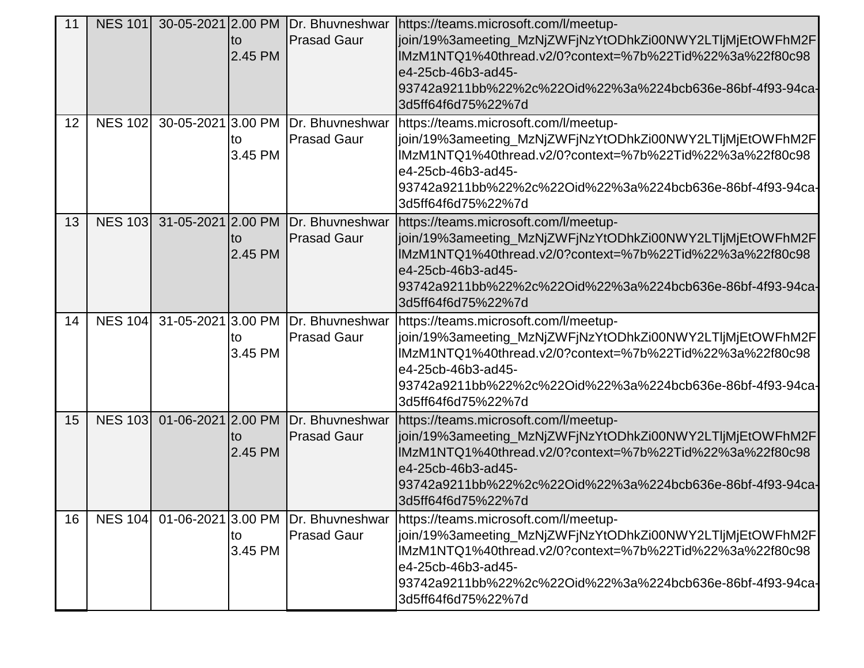| 11 |                |                            | lto<br>2.45 PM | NES 101 30-05-2021 2.00 PM Dr. Bhuvneshwar<br><b>Prasad Gaur</b> | https://teams.microsoft.com/l/meetup-<br>join/19%3ameeting_MzNjZWFjNzYtODhkZi00NWY2LTIjMjEtOWFhM2F<br>IMzM1NTQ1%40thread.v2/0?context=%7b%22Tid%22%3a%22f80c98<br>e4-25cb-46b3-ad45-<br>93742a9211bb%22%2c%22Oid%22%3a%224bcb636e-86bf-4f93-94ca-<br>3d5ff64f6d75%22%7d                    |
|----|----------------|----------------------------|----------------|------------------------------------------------------------------|--------------------------------------------------------------------------------------------------------------------------------------------------------------------------------------------------------------------------------------------------------------------------------------------|
| 12 | <b>NES 102</b> | 30-05-2021 3.00 PM         | to<br>3.45 PM  | <b>IDr. Bhuvneshwar</b><br><b>Prasad Gaur</b>                    | https://teams.microsoft.com/l/meetup-<br>join/19%3ameeting_MzNjZWFjNzYtODhkZi00NWY2LTIjMjEtOWFhM2F<br>IMzM1NTQ1%40thread.v2/0?context=%7b%22Tid%22%3a%22f80c98<br>e4-25cb-46b3-ad45-<br>93742a9211bb%22%2c%22Oid%22%3a%224bcb636e-86bf-4f93-94ca-<br>3d5ff64f6d75%22%7d                    |
| 13 |                | NES 103 31-05-2021 2.00 PM | to<br>2.45 PM  | <b>Prasad Gaur</b>                                               | Dr. Bhuvneshwar https://teams.microsoft.com/l/meetup-<br>join/19%3ameeting_MzNjZWFjNzYtODhkZi00NWY2LTljMjEtOWFhM2F<br>lMzM1NTQ1%40thread.v2/0?context=%7b%22Tid%22%3a%22f80c98<br>e4-25cb-46b3-ad45-<br>93742a9211bb%22%2c%22Oid%22%3a%224bcb636e-86bf-4f93-94ca-<br>3d5ff64f6d75%22%7d    |
| 14 | <b>NES 104</b> | 31-05-2021 3.00 PM         | to<br>3.45 PM  | Dr. Bhuvneshwar<br><b>Prasad Gaur</b>                            | https://teams.microsoft.com/l/meetup-<br>join/19%3ameeting_MzNjZWFjNzYtODhkZi00NWY2LTIjMjEtOWFhM2F<br>lMzM1NTQ1%40thread.v2/0?context=%7b%22Tid%22%3a%22f80c98<br>e4-25cb-46b3-ad45-<br>93742a9211bb%22%2c%22Oid%22%3a%224bcb636e-86bf-4f93-94ca-<br>3d5ff64f6d75%22%7d                    |
| 15 | <b>NES 103</b> | 01-06-2021 2.00 PM         | to<br>2.45 PM  | <b>Prasad Gaur</b>                                               | Dr. Bhuvneshwar   https://teams.microsoft.com/l/meetup-<br>join/19%3ameeting_MzNjZWFjNzYtODhkZi00NWY2LTIjMjEtOWFhM2F<br>IMzM1NTQ1%40thread.v2/0?context=%7b%22Tid%22%3a%22f80c98<br>e4-25cb-46b3-ad45-<br>l93742a9211bb%22%2c%22Oid%22%3a%224bcb636e-86bf-4f93-94ca-<br>3d5ff64f6d75%22%7d |
| 16 | <b>NES 104</b> | 01-06-2021 3.00 PM         | to<br>3.45 PM  | Dr. Bhuvneshwar<br><b>Prasad Gaur</b>                            | https://teams.microsoft.com/l/meetup-<br>join/19%3ameeting_MzNjZWFjNzYtODhkZi00NWY2LTljMjEtOWFhM2F<br>IMzM1NTQ1%40thread.v2/0?context=%7b%22Tid%22%3a%22f80c98<br>e4-25cb-46b3-ad45-<br>l93742a9211bb%22%2c%22Oid%22%3a%224bcb636e-86bf-4f93-94ca-<br>3d5ff64f6d75%22%7d                   |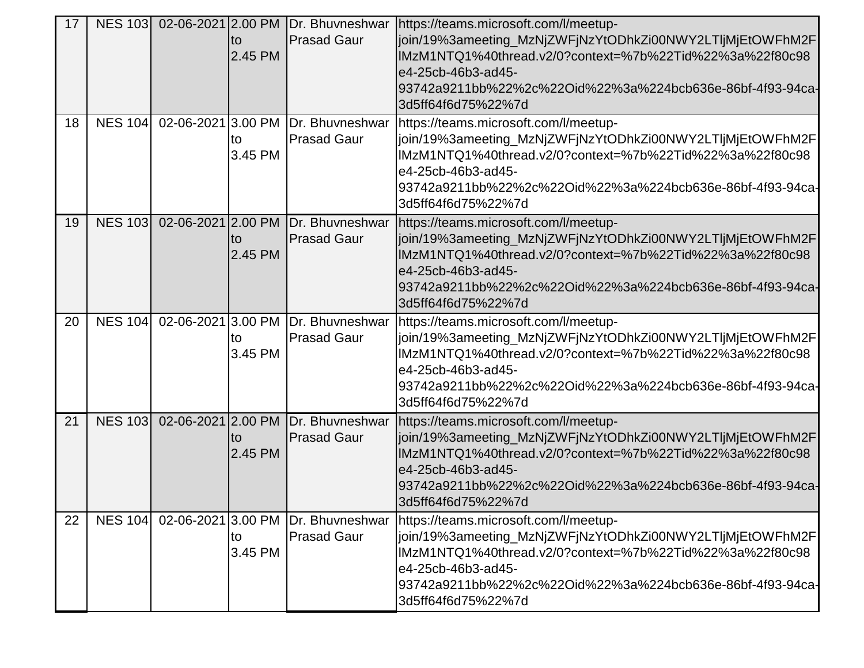| 17 |                |                    |               | NES 103 02-06-2021 2.00 PM Dr. Bhuvneshwar | https://teams.microsoft.com/l/meetup-                                                                                 |
|----|----------------|--------------------|---------------|--------------------------------------------|-----------------------------------------------------------------------------------------------------------------------|
|    |                |                    | lto           | <b>Prasad Gaur</b>                         | join/19%3ameeting_MzNjZWFjNzYtODhkZi00NWY2LTIjMjEtOWFhM2F                                                             |
|    |                |                    | 2.45 PM       |                                            | lMzM1NTQ1%40thread.v2/0?context=%7b%22Tid%22%3a%22f80c98                                                              |
|    |                |                    |               |                                            | e4-25cb-46b3-ad45-                                                                                                    |
|    |                |                    |               |                                            | 93742a9211bb%22%2c%22Oid%22%3a%224bcb636e-86bf-4f93-94ca-                                                             |
|    |                |                    |               |                                            | 3d5ff64f6d75%22%7d                                                                                                    |
| 18 | <b>NES 104</b> | 02-06-2021 3.00 PM |               | Dr. Bhuvneshwar                            | https://teams.microsoft.com/l/meetup-                                                                                 |
|    |                |                    | to            | <b>Prasad Gaur</b>                         | join/19%3ameeting_MzNjZWFjNzYtODhkZi00NWY2LTljMjEtOWFhM2F                                                             |
|    |                |                    | 3.45 PM       |                                            | IMzM1NTQ1%40thread.v2/0?context=%7b%22Tid%22%3a%22f80c98                                                              |
|    |                |                    |               |                                            | e4-25cb-46b3-ad45-<br>93742a9211bb%22%2c%22Oid%22%3a%224bcb636e-86bf-4f93-94ca-                                       |
|    |                |                    |               |                                            | 3d5ff64f6d75%22%7d                                                                                                    |
|    |                | 02-06-2021 2.00 PM |               |                                            |                                                                                                                       |
| 19 | <b>NES 103</b> |                    |               | <b>Prasad Gaur</b>                         | Dr. Bhuvneshwar   https://teams.microsoft.com/l/meetup-<br>join/19%3ameeting_MzNjZWFjNzYtODhkZi00NWY2LTljMjEtOWFhM2F  |
|    |                |                    | to<br>2.45 PM |                                            | IMzM1NTQ1%40thread.v2/0?context=%7b%22Tid%22%3a%22f80c98                                                              |
|    |                |                    |               |                                            | e4-25cb-46b3-ad45-                                                                                                    |
|    |                |                    |               |                                            | l93742a9211bb%22%2c%22Oid%22%3a%224bcb636e-86bf-4f93-94ca-                                                            |
|    |                |                    |               |                                            | 3d5ff64f6d75%22%7d                                                                                                    |
| 20 | <b>NES 104</b> | 02-06-2021 3.00 PM |               | Dr. Bhuvneshwar                            | https://teams.microsoft.com/l/meetup-                                                                                 |
|    |                |                    | to            | <b>Prasad Gaur</b>                         | join/19%3ameeting_MzNjZWFjNzYtODhkZi00NWY2LTljMjEtOWFhM2F                                                             |
|    |                |                    | 3.45 PM       |                                            | lMzM1NTQ1%40thread.v2/0?context=%7b%22Tid%22%3a%22f80c98                                                              |
|    |                |                    |               |                                            | e4-25cb-46b3-ad45-                                                                                                    |
|    |                |                    |               |                                            | 93742a9211bb%22%2c%22Oid%22%3a%224bcb636e-86bf-4f93-94ca-                                                             |
|    |                |                    |               |                                            | 3d5ff64f6d75%22%7d                                                                                                    |
| 21 | <b>NES 103</b> | 02-06-2021 2.00 PM |               | Dr. Bhuvneshwar                            | https://teams.microsoft.com/l/meetup-                                                                                 |
|    |                |                    | to            | <b>Prasad Gaur</b>                         | join/19%3ameeting_MzNjZWFjNzYtODhkZi00NWY2LTIjMjEtOWFhM2F                                                             |
|    |                |                    | 2.45 PM       |                                            | IMzM1NTQ1%40thread.v2/0?context=%7b%22Tid%22%3a%22f80c98                                                              |
|    |                |                    |               |                                            | e4-25cb-46b3-ad45-                                                                                                    |
|    |                |                    |               |                                            | 93742a9211bb%22%2c%22Oid%22%3a%224bcb636e-86bf-4f93-94ca-<br>3d5ff64f6d75%22%7d                                       |
|    |                |                    |               |                                            |                                                                                                                       |
| 22 | <b>NES 104</b> | 02-06-2021 3.00 PM |               | Dr. Bhuvneshwar                            | https://teams.microsoft.com/l/meetup-                                                                                 |
|    |                |                    | to<br>3.45 PM | <b>Prasad Gaur</b>                         | join/19%3ameeting_MzNjZWFjNzYtODhkZi00NWY2LTIjMjEtOWFhM2F<br>lMzM1NTQ1%40thread.v2/0?context=%7b%22Tid%22%3a%22f80c98 |
|    |                |                    |               |                                            | e4-25cb-46b3-ad45-                                                                                                    |
|    |                |                    |               |                                            | l93742a9211bb%22%2c%22Oid%22%3a%224bcb636e-86bf-4f93-94ca-                                                            |
|    |                |                    |               |                                            | 3d5ff64f6d75%22%7d                                                                                                    |